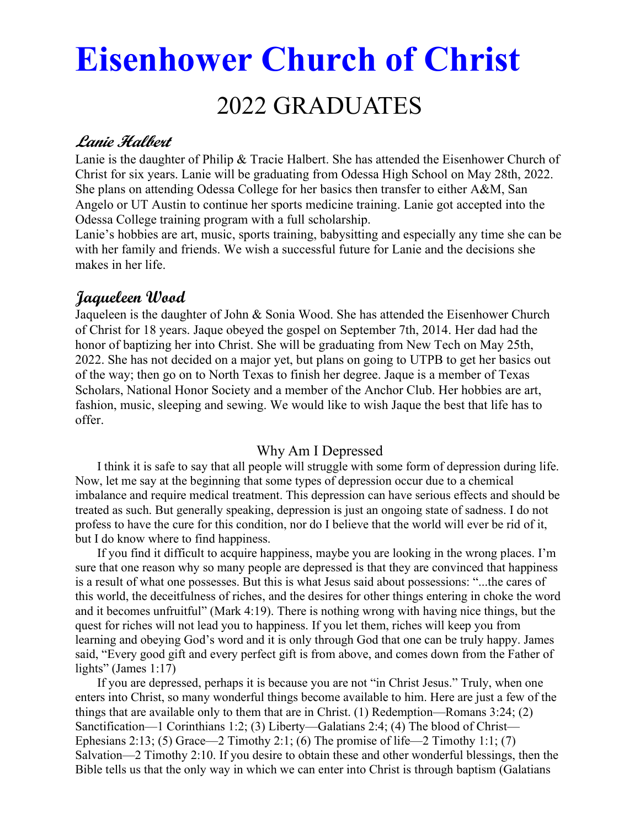# Eisenhower Church of Christ 2022 GRADUATES

# Lanie Halbert

Lanie is the daughter of Philip & Tracie Halbert. She has attended the Eisenhower Church of Christ for six years. Lanie will be graduating from Odessa High School on May 28th, 2022. She plans on attending Odessa College for her basics then transfer to either A&M, San Angelo or UT Austin to continue her sports medicine training. Lanie got accepted into the Odessa College training program with a full scholarship.

Lanie's hobbies are art, music, sports training, babysitting and especially any time she can be with her family and friends. We wish a successful future for Lanie and the decisions she makes in her life.

# Jaqueleen Wood

Jaqueleen is the daughter of John & Sonia Wood. She has attended the Eisenhower Church of Christ for 18 years. Jaque obeyed the gospel on September 7th, 2014. Her dad had the honor of baptizing her into Christ. She will be graduating from New Tech on May 25th, 2022. She has not decided on a major yet, but plans on going to UTPB to get her basics out of the way; then go on to North Texas to finish her degree. Jaque is a member of Texas Scholars, National Honor Society and a member of the Anchor Club. Her hobbies are art, fashion, music, sleeping and sewing. We would like to wish Jaque the best that life has to offer.

## Why Am I Depressed

 I think it is safe to say that all people will struggle with some form of depression during life. Now, let me say at the beginning that some types of depression occur due to a chemical imbalance and require medical treatment. This depression can have serious effects and should be treated as such. But generally speaking, depression is just an ongoing state of sadness. I do not profess to have the cure for this condition, nor do I believe that the world will ever be rid of it, but I do know where to find happiness.

 If you find it difficult to acquire happiness, maybe you are looking in the wrong places. I'm sure that one reason why so many people are depressed is that they are convinced that happiness is a result of what one possesses. But this is what Jesus said about possessions: "...the cares of this world, the deceitfulness of riches, and the desires for other things entering in choke the word and it becomes unfruitful" (Mark 4:19). There is nothing wrong with having nice things, but the quest for riches will not lead you to happiness. If you let them, riches will keep you from learning and obeying God's word and it is only through God that one can be truly happy. James said, "Every good gift and every perfect gift is from above, and comes down from the Father of lights" (James 1:17)

 If you are depressed, perhaps it is because you are not "in Christ Jesus." Truly, when one enters into Christ, so many wonderful things become available to him. Here are just a few of the things that are available only to them that are in Christ. (1) Redemption—Romans 3:24; (2) Sanctification—1 Corinthians 1:2; (3) Liberty—Galatians 2:4; (4) The blood of Christ— Ephesians 2:13; (5) Grace—2 Timothy 2:1; (6) The promise of life—2 Timothy 1:1; (7) Salvation—2 Timothy 2:10. If you desire to obtain these and other wonderful blessings, then the Bible tells us that the only way in which we can enter into Christ is through baptism (Galatians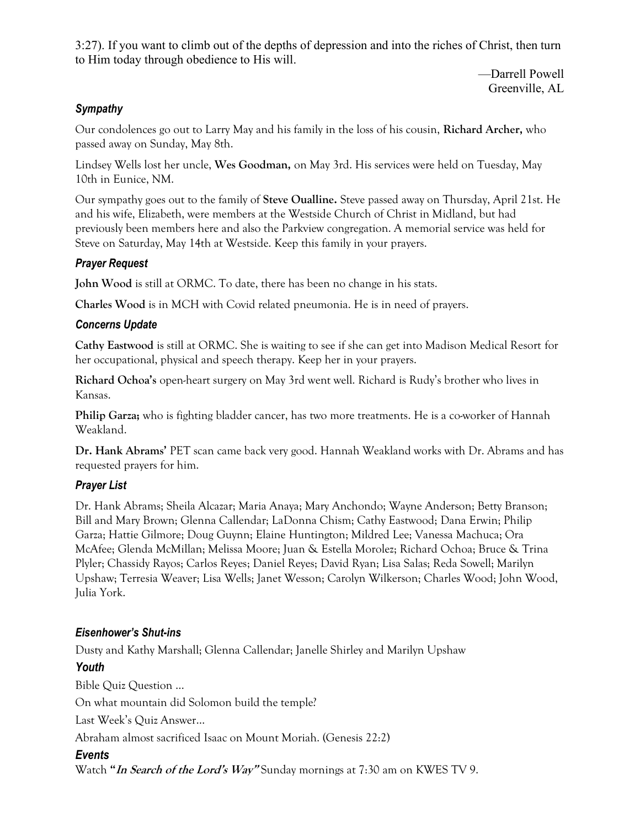3:27). If you want to climb out of the depths of depression and into the riches of Christ, then turn to Him today through obedience to His will.

> —Darrell Powell Greenville, AL

## **Sympathy**

Our condolences go out to Larry May and his family in the loss of his cousin, Richard Archer, who passed away on Sunday, May 8th.

Lindsey Wells lost her uncle, Wes Goodman, on May 3rd. His services were held on Tuesday, May 10th in Eunice, NM.

Our sympathy goes out to the family of Steve Oualline. Steve passed away on Thursday, April 21st. He and his wife, Elizabeth, were members at the Westside Church of Christ in Midland, but had previously been members here and also the Parkview congregation. A memorial service was held for Steve on Saturday, May 14th at Westside. Keep this family in your prayers.

## Prayer Request

John Wood is still at ORMC. To date, there has been no change in his stats.

Charles Wood is in MCH with Covid related pneumonia. He is in need of prayers.

## Concerns Update

Cathy Eastwood is still at ORMC. She is waiting to see if she can get into Madison Medical Resort for her occupational, physical and speech therapy. Keep her in your prayers.

Richard Ochoa's open-heart surgery on May 3rd went well. Richard is Rudy's brother who lives in Kansas.

**Philip Garza;** who is fighting bladder cancer, has two more treatments. He is a co-worker of Hannah Weakland.

Dr. Hank Abrams' PET scan came back very good. Hannah Weakland works with Dr. Abrams and has requested prayers for him.

## Prayer List

Dr. Hank Abrams; Sheila Alcazar; Maria Anaya; Mary Anchondo; Wayne Anderson; Betty Branson; Bill and Mary Brown; Glenna Callendar; LaDonna Chism; Cathy Eastwood; Dana Erwin; Philip Garza; Hattie Gilmore; Doug Guynn; Elaine Huntington; Mildred Lee; Vanessa Machuca; Ora McAfee; Glenda McMillan; Melissa Moore; Juan & Estella Morolez; Richard Ochoa; Bruce & Trina Plyler; Chassidy Rayos; Carlos Reyes; Daniel Reyes; David Ryan; Lisa Salas; Reda Sowell; Marilyn Upshaw; Terresia Weaver; Lisa Wells; Janet Wesson; Carolyn Wilkerson; Charles Wood; John Wood, Julia York.

## Eisenhower's Shut-ins

Dusty and Kathy Marshall; Glenna Callendar; Janelle Shirley and Marilyn Upshaw

## Youth

Bible Quiz Question … On what mountain did Solomon build the temple?

Last Week's Quiz Answer…

Abraham almost sacrificed Isaac on Mount Moriah. (Genesis 22:2)

## Events

Watch "In Search of the Lord's Way" Sunday mornings at 7:30 am on KWES TV 9.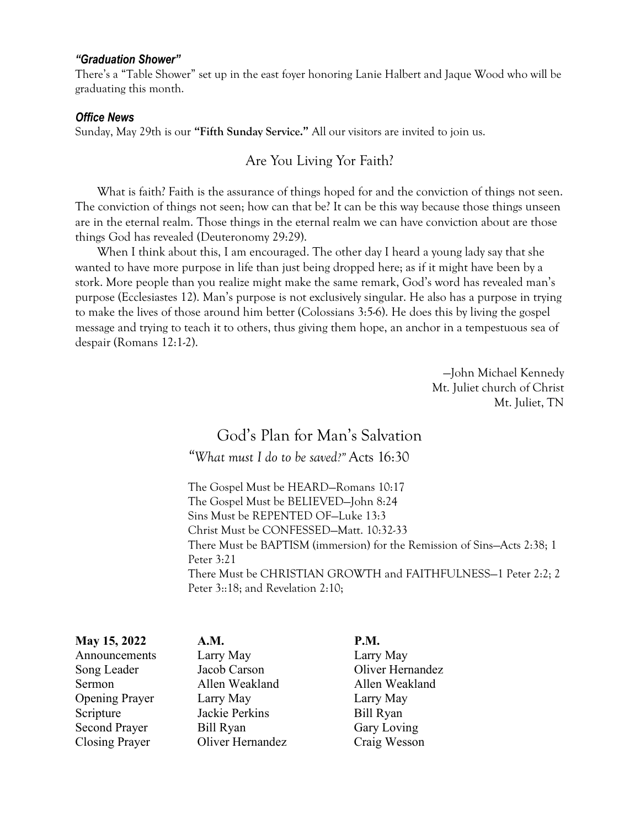#### "Graduation Shower"

There's a "Table Shower" set up in the east foyer honoring Lanie Halbert and Jaque Wood who will be graduating this month.

#### Office News

Sunday, May 29th is our "Fifth Sunday Service." All our visitors are invited to join us.

#### Are You Living Yor Faith?

What is faith? Faith is the assurance of things hoped for and the conviction of things not seen. The conviction of things not seen; how can that be? It can be this way because those things unseen are in the eternal realm. Those things in the eternal realm we can have conviction about are those things God has revealed (Deuteronomy 29:29).

 When I think about this, I am encouraged. The other day I heard a young lady say that she wanted to have more purpose in life than just being dropped here; as if it might have been by a stork. More people than you realize might make the same remark, God's word has revealed man's purpose (Ecclesiastes 12). Man's purpose is not exclusively singular. He also has a purpose in trying to make the lives of those around him better (Colossians 3:5-6). He does this by living the gospel message and trying to teach it to others, thus giving them hope, an anchor in a tempestuous sea of despair (Romans 12:1-2).

> —John Michael Kennedy Mt. Juliet church of Christ Mt. Juliet, TN

# God's Plan for Man's Salvation

"What must I do to be saved?" Acts 16:30

The Gospel Must be HEARD—Romans 10:17 The Gospel Must be BELIEVED—John 8:24 Sins Must be REPENTED OF—Luke 13:3 Christ Must be CONFESSED—Matt. 10:32-33 There Must be BAPTISM (immersion) for the Remission of Sins—Acts 2:38; 1 Peter 3:21 There Must be CHRISTIAN GROWTH and FAITHFULNESS—1 Peter 2:2; 2 Peter 3::18; and Revelation 2:10;

May 15, 2022 A.M. P.M. Announcements Larry May Larry May Song Leader Jacob Carson Oliver Hernandez Sermon Allen Weakland Allen Weakland Opening Prayer Larry May Larry May Scripture Jackie Perkins Bill Ryan Second Prayer Bill Ryan Gary Loving Closing Prayer Oliver Hernandez Craig Wesson